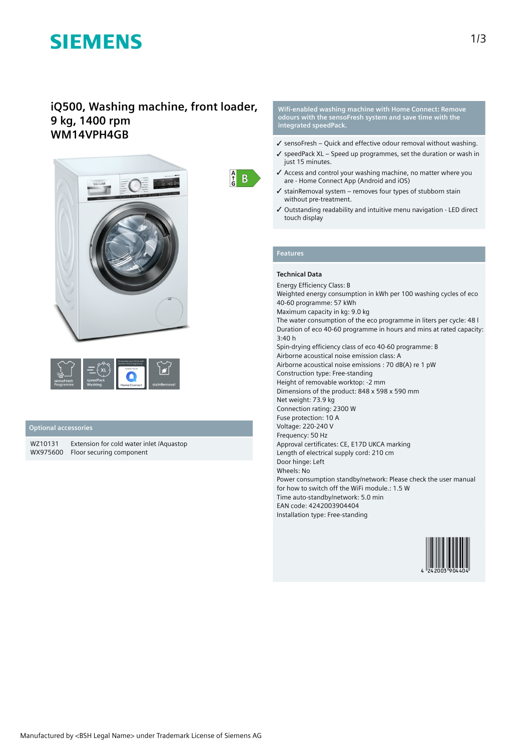# **SIEMENS**

# **iQ500, Washing machine, front loader, 9 kg, 1400 rpm WM14VPH4GB**



|                         |                      | Personalise your home with<br>Siemens Home Appliances<br>CONNECTED BY |              |
|-------------------------|----------------------|-----------------------------------------------------------------------|--------------|
| sensoFresh<br>Programme | speedPack<br>Washing | Home Connect                                                          | stainRemoval |

## **Optional accessories**

WZ10131 Extension for cold water inlet /Aquastop WX975600 Floor securing component

 $\frac{A}{f}$  $B$ 

#### **Wifi-enabled washing machine with Home Connect: Remove odours with the sensoFresh system and save time with the integrated speedPack.**

- $\checkmark$  sensoFresh Quick and effective odour removal without washing.
- $\checkmark$  speedPack XL Speed up programmes, set the duration or wash in just 15 minutes.
- ✓ Access and control your washing machine, no matter where you are - Home Connect App (Android and iOS)
- $\checkmark$  stainRemoval system removes four types of stubborn stain without pre-treatment.
- ✓ Outstanding readability and intuitive menu navigation LED direct touch display

# **Features**

## **Technical Data**

Energy Efficiency Class: B Weighted energy consumption in kWh per 100 washing cycles of eco 40-60 programme: 57 kWh Maximum capacity in kg: 9.0 kg The water consumption of the eco programme in liters per cycle: 48 l Duration of eco 40-60 programme in hours and mins at rated capacity: 3:40 h Spin-drying efficiency class of eco 40-60 programme: B Airborne acoustical noise emission class: A Airborne acoustical noise emissions : 70 dB(A) re 1 pW Construction type: Free-standing Height of removable worktop: -2 mm Dimensions of the product: 848 x 598 x 590 mm Net weight: 73.9 kg Connection rating: 2300 W Fuse protection: 10 A Voltage: 220-240 V Frequency: 50 Hz Approval certificates: CE, E17D UKCA marking Length of electrical supply cord: 210 cm Door hinge: Left Wheels: No Power consumption standby/network: Please check the user manual for how to switch off the WiFi module.: 1.5 W Time auto-standby/network: 5.0 min EAN code: 4242003904404 Installation type: Free-standing

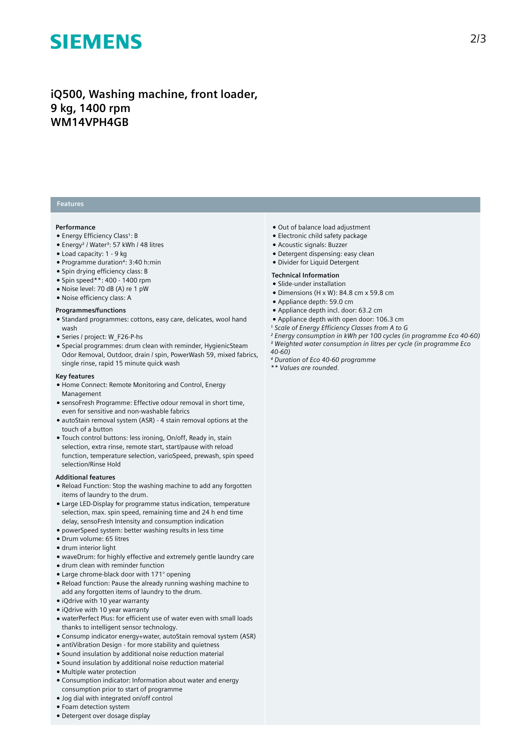# **SIEMENS**

# **iQ500, Washing machine, front loader, 9 kg, 1400 rpm WM14VPH4GB**

# **Features**

### **Performance**

- Energy Efficiency Class<sup>1</sup>: B
- Energy<sup>2</sup> / Water<sup>3</sup>: 57 kWh / 48 litres
- Load capacity: 1 9 kg
- Programme duration⁴: 3:40 h:min
- Spin drying efficiency class: B
- Spin speed\*\*: 400 1400 rpm
- Noise level: 70 dB (A) re 1 pW
- Noise efficiency class: A

### **Programmes/functions**

- Standard programmes: cottons, easy care, delicates, wool hand wash
- Series / project: W\_F26-P-hs
- Special programmes: drum clean with reminder, HygienicSteam Odor Removal, Outdoor, drain / spin, PowerWash 59, mixed fabrics, single rinse, rapid 15 minute quick wash

### **Key features**

- Home Connect: Remote Monitoring and Control, Energy Management
- sensoFresh Programme: Effective odour removal in short time, even for sensitive and non-washable fabrics
- autoStain removal system (ASR) 4 stain removal options at the touch of a button
- Touch control buttons: less ironing, On/off, Ready in, stain selection, extra rinse, remote start, start/pause with reload function, temperature selection, varioSpeed, prewash, spin speed selection/Rinse Hold

#### **Additional features**

- Reload Function: Stop the washing machine to add any forgotten items of laundry to the drum.
- Large LED-Display for programme status indication, temperature selection, max. spin speed, remaining time and 24 h end time delay, sensoFresh Intensity and consumption indication
- powerSpeed system: better washing results in less time
- Drum volume: 65 litres
- drum interior light
- waveDrum: for highly effective and extremely gentle laundry care
- drum clean with reminder function
- Large chrome-black door with 171° opening
- Reload function: Pause the already running washing machine to add any forgotten items of laundry to the drum.
- iQdrive with 10 year warranty
- iQdrive with 10 year warranty
- waterPerfect Plus: for efficient use of water even with small loads thanks to intelligent sensor technology.
- Consump indicator energy+water, autoStain removal system (ASR)
- antiVibration Design for more stability and quietness
- Sound insulation by additional noise reduction material
- Sound insulation by additional noise reduction material
- Multiple water protection
- Consumption indicator: Information about water and energy consumption prior to start of programme
- Jog dial with integrated on/off control
- Foam detection system
- Detergent over dosage display
- Out of balance load adjustment
- Electronic child safety package
- Acoustic signals: Buzzer
- Detergent dispensing: easy clean
- Divider for Liquid Detergent

### **Technical Information**

- Slide-under installation
- Dimensions (H x W): 84.8 cm x 59.8 cm
- Appliance depth: 59.0 cm
- Appliance depth incl. door: 63.2 cm
- Appliance depth with open door: 106.3 cm
- *¹ Scale of Energy Efficiency Classes from A to G*
- *² Energy consumption in kWh per 100 cycles (in programme Eco 40-60)*
- *³ Weighted water consumption in litres per cycle (in programme Eco 40-60)*
- *⁴ Duration of Eco 40-60 programme*
- *\*\* Values are rounded.*